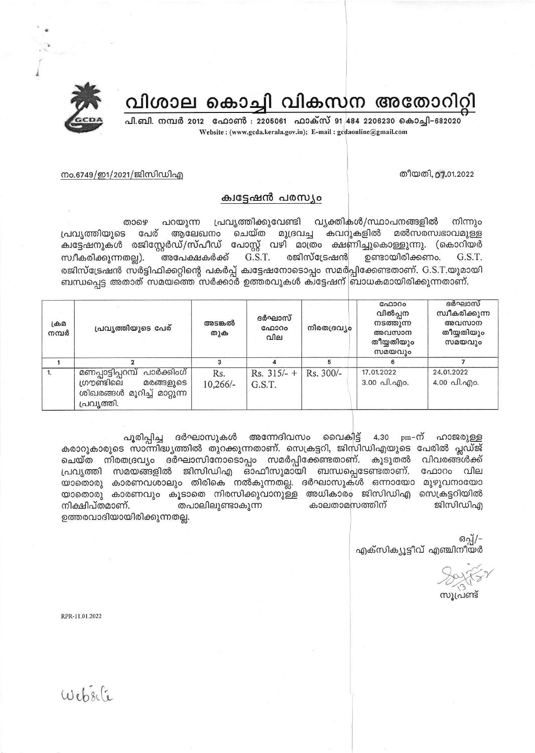

പി.ബി. നമ്പർ 2012 ഫോൺ : 2205061 ഫാക്സ് 91 484 2206230 കൊച്ചി–682020 Website: (www.gcda.kerala.gov.in); E-mail: gcdaonline@gmail.com



തീയതി, 07.01.2022

## നം.6749/ഇ1/2021/ജിസിഡിഎ

## ക്വട്ടേഷൻ പരസ്യം

പ്രവൃത്തിക്കുവേണ്ടി വ്യക്തികൾ/സ്ഥാപനങ്ങളിൽ പറയുന്ന നിന്നും താഴെ പേര് ആലേഖനം ചെയ്ത മുദ്രവച്ച കവറുകളിൽ മൽസരസ്വഭാവമുള്ള പ്രവ്യത്തിയുടെ ക്വട്ടേഷനുകൾ രജിസ്റ്റേർഡ്/സ്പീഡ് പോസ്റ്റ് വഴി മാത്രം ക്ഷണിച്ചുകൊള്ളുന്നു. (കൊറിയർ ഉണ്ടായിരിക്കണം. സ്വീകരിക്കുന്നതല്ല). അപേക്ഷകർക്ക് G.S.T. രജിസ്ട്രേഷൻ G.S.T. രജിസ്ട്രേഷൻ സർട്ടിഫിക്കറ്റിന്റെ പകർപ്പ് ക്വട്ടേഷനോടൊപ്പം സമർപ്പിക്കേണ്ടതാണ്. G.S.T.യുമായി ബന്ധപ്പെട്ട അതാത് സമയത്തെ സർക്കാർ ഉത്തരവുകൾ കിട്ടേഷന് ബാധകമായിരിക്കുന്നതാണ്.

| ക്രമ<br>നമ്പർ | പ്രവൃത്തിയുടെ പേര്                                                                                    | അടങ്കൽ<br>തുക     | ദർഘാസ്<br>ഫോറം<br>വില   | നിരതദ്രവ്യം | ഫോറം<br>വിൽപ്പന<br>നടത്തുന്ന<br>അവസാന<br>തീയ്യതിയും<br>സമയവും | ദർഘാസ്<br>സ്വീകരിക്കുന്ന<br>അവസാന<br>തീയ്യതിയും<br>സമയവും |
|---------------|-------------------------------------------------------------------------------------------------------|-------------------|-------------------------|-------------|---------------------------------------------------------------|-----------------------------------------------------------|
|               |                                                                                                       |                   |                         |             |                                                               |                                                           |
|               | മണപ്പാട്ടിപ്പറമ്പ് പാർക്കിംഗ്<br>ഗ്രൗണ്ടിലെ<br>മരങ്ങളുടെ<br>ശിഖരങ്ങൾ മുറിച്ച് മാറ്റുന്ന<br>പ്രവൃത്തി. | Rs.<br>$10,266/-$ | Rs. $315/-$ +<br>G.S.T. | Rs. 300/-   | 17.01.2022<br>$3.00 \text{$ .00}.                             | 24.01.2022<br>4.00 പി.എo.                                 |

പൂരിപ്പിച്ച ദർഘാസുകൾ അന്നേദിവസം വൈകിട്ട് 4.30 pm–ന് ഹാജരുള്ള കരാറുകാരുടെ സാന്നിദ്ധ്യത്തിൽ തുറക്കുന്നതാണ്. സെക്രട്ടറി, ജിസിഡിഎയുടെ പേരിൽ പ്ലഡ്ജ് ചെയ്ത നിരതദ്രവ്യം ദർഘാസിനോടൊപ്പം സമർപ്പിക്കേണ്ടതാണ്. കൂടുതൽ വിവരങ്ങൾക്ക് പ്രവൃത്തി സമയങ്ങളിൽ ജിസിഡിഎ ഓഫീസുമായി ബന്ധപ്പെടേണ്ടതാണ്. ഫോറം വില യാതൊരു കാരണവശാലും തിരികെ നൽകുന്നതല്ല. ദർഘാസുകൾ ഒന്നായോ മുഴുവനായോ യാതൊരു കാരണവും കൂടാതെ നിരസിക്കുവാനുള്ള അധികാരം ജിസിഡിഎ സെക്രട്ടറിയിൽ നിക്ഷിപ്തമാണ്. തപാലിലുണ്ടാകുന്ന കാലതാമസത്തിന് ജിസിഡിഎ ഉത്തരവാദിയായിരിക്കുന്നതല്ല.

> ഒപ്പ്/-എക്സിക്യൂട്ടീവ് എഞ്ചിനീയർ

സൂപ്രണ്ട്

RPR-11.01.2022

 $Webs6$